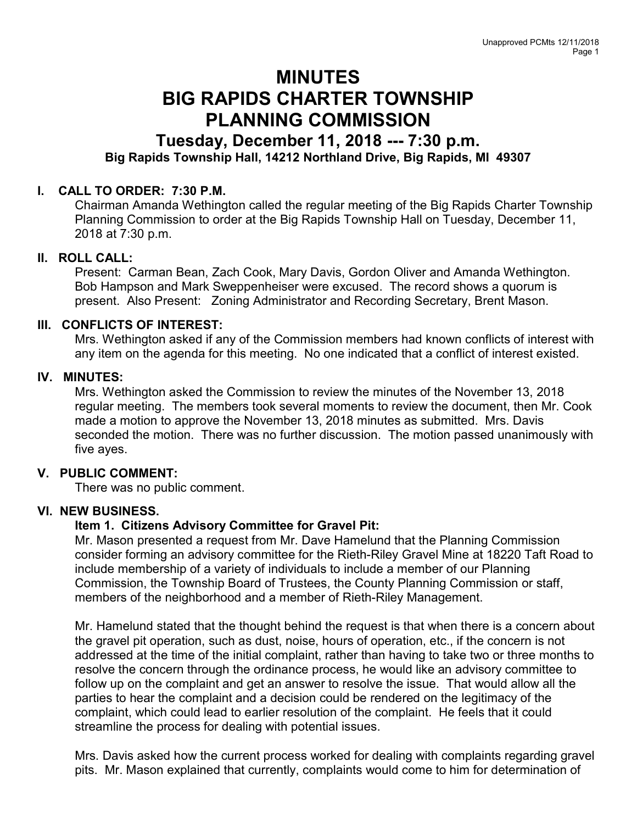# MINUTES BIG RAPIDS CHARTER TOWNSHIP PLANNING COMMISSION

# Tuesday, December 11, 2018 --- 7:30 p.m. Big Rapids Township Hall, 14212 Northland Drive, Big Rapids, MI 49307

## I. CALL TO ORDER: 7:30 P.M.

Chairman Amanda Wethington called the regular meeting of the Big Rapids Charter Township Planning Commission to order at the Big Rapids Township Hall on Tuesday, December 11, 2018 at 7:30 p.m.

#### II. ROLL CALL:

Present: Carman Bean, Zach Cook, Mary Davis, Gordon Oliver and Amanda Wethington. Bob Hampson and Mark Sweppenheiser were excused. The record shows a quorum is present. Also Present: Zoning Administrator and Recording Secretary, Brent Mason.

### III. CONFLICTS OF INTEREST:

Mrs. Wethington asked if any of the Commission members had known conflicts of interest with any item on the agenda for this meeting. No one indicated that a conflict of interest existed.

#### IV. MINUTES:

Mrs. Wethington asked the Commission to review the minutes of the November 13, 2018 regular meeting. The members took several moments to review the document, then Mr. Cook made a motion to approve the November 13, 2018 minutes as submitted. Mrs. Davis seconded the motion. There was no further discussion. The motion passed unanimously with five ayes.

#### V. PUBLIC COMMENT:

There was no public comment.

#### VI. NEW BUSINESS.

#### Item 1. Citizens Advisory Committee for Gravel Pit:

Mr. Mason presented a request from Mr. Dave Hamelund that the Planning Commission consider forming an advisory committee for the Rieth-Riley Gravel Mine at 18220 Taft Road to include membership of a variety of individuals to include a member of our Planning Commission, the Township Board of Trustees, the County Planning Commission or staff, members of the neighborhood and a member of Rieth-Riley Management.

Mr. Hamelund stated that the thought behind the request is that when there is a concern about the gravel pit operation, such as dust, noise, hours of operation, etc., if the concern is not addressed at the time of the initial complaint, rather than having to take two or three months to resolve the concern through the ordinance process, he would like an advisory committee to follow up on the complaint and get an answer to resolve the issue. That would allow all the parties to hear the complaint and a decision could be rendered on the legitimacy of the complaint, which could lead to earlier resolution of the complaint. He feels that it could streamline the process for dealing with potential issues.

Mrs. Davis asked how the current process worked for dealing with complaints regarding gravel pits. Mr. Mason explained that currently, complaints would come to him for determination of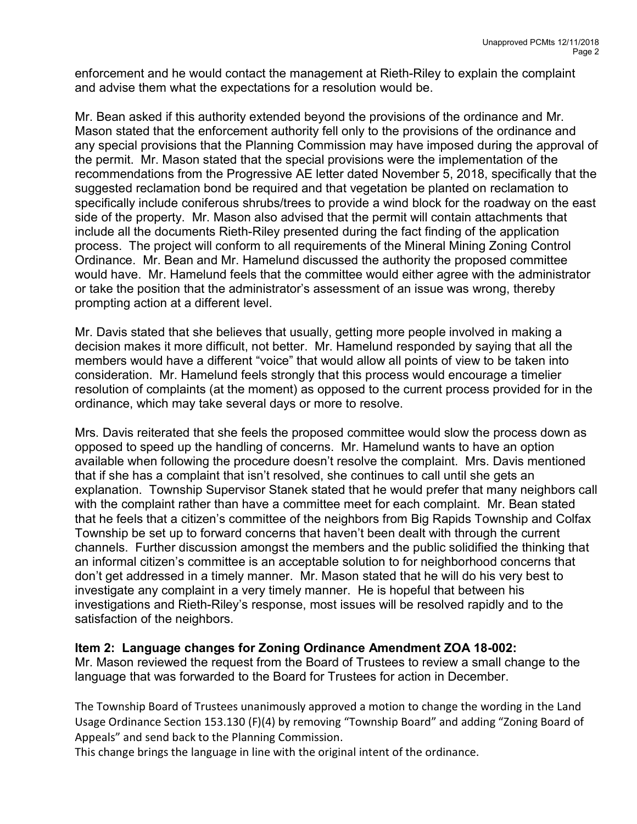enforcement and he would contact the management at Rieth-Riley to explain the complaint and advise them what the expectations for a resolution would be.

Mr. Bean asked if this authority extended beyond the provisions of the ordinance and Mr. Mason stated that the enforcement authority fell only to the provisions of the ordinance and any special provisions that the Planning Commission may have imposed during the approval of the permit. Mr. Mason stated that the special provisions were the implementation of the recommendations from the Progressive AE letter dated November 5, 2018, specifically that the suggested reclamation bond be required and that vegetation be planted on reclamation to specifically include coniferous shrubs/trees to provide a wind block for the roadway on the east side of the property. Mr. Mason also advised that the permit will contain attachments that include all the documents Rieth-Riley presented during the fact finding of the application process. The project will conform to all requirements of the Mineral Mining Zoning Control Ordinance. Mr. Bean and Mr. Hamelund discussed the authority the proposed committee would have. Mr. Hamelund feels that the committee would either agree with the administrator or take the position that the administrator's assessment of an issue was wrong, thereby prompting action at a different level.

Mr. Davis stated that she believes that usually, getting more people involved in making a decision makes it more difficult, not better. Mr. Hamelund responded by saying that all the members would have a different "voice" that would allow all points of view to be taken into consideration. Mr. Hamelund feels strongly that this process would encourage a timelier resolution of complaints (at the moment) as opposed to the current process provided for in the ordinance, which may take several days or more to resolve.

Mrs. Davis reiterated that she feels the proposed committee would slow the process down as opposed to speed up the handling of concerns. Mr. Hamelund wants to have an option available when following the procedure doesn't resolve the complaint. Mrs. Davis mentioned that if she has a complaint that isn't resolved, she continues to call until she gets an explanation. Township Supervisor Stanek stated that he would prefer that many neighbors call with the complaint rather than have a committee meet for each complaint. Mr. Bean stated that he feels that a citizen's committee of the neighbors from Big Rapids Township and Colfax Township be set up to forward concerns that haven't been dealt with through the current channels. Further discussion amongst the members and the public solidified the thinking that an informal citizen's committee is an acceptable solution to for neighborhood concerns that don't get addressed in a timely manner. Mr. Mason stated that he will do his very best to investigate any complaint in a very timely manner. He is hopeful that between his investigations and Rieth-Riley's response, most issues will be resolved rapidly and to the satisfaction of the neighbors.

#### Item 2: Language changes for Zoning Ordinance Amendment ZOA 18-002:

Mr. Mason reviewed the request from the Board of Trustees to review a small change to the language that was forwarded to the Board for Trustees for action in December.

The Township Board of Trustees unanimously approved a motion to change the wording in the Land Usage Ordinance Section 153.130 (F)(4) by removing "Township Board" and adding "Zoning Board of Appeals" and send back to the Planning Commission.

This change brings the language in line with the original intent of the ordinance.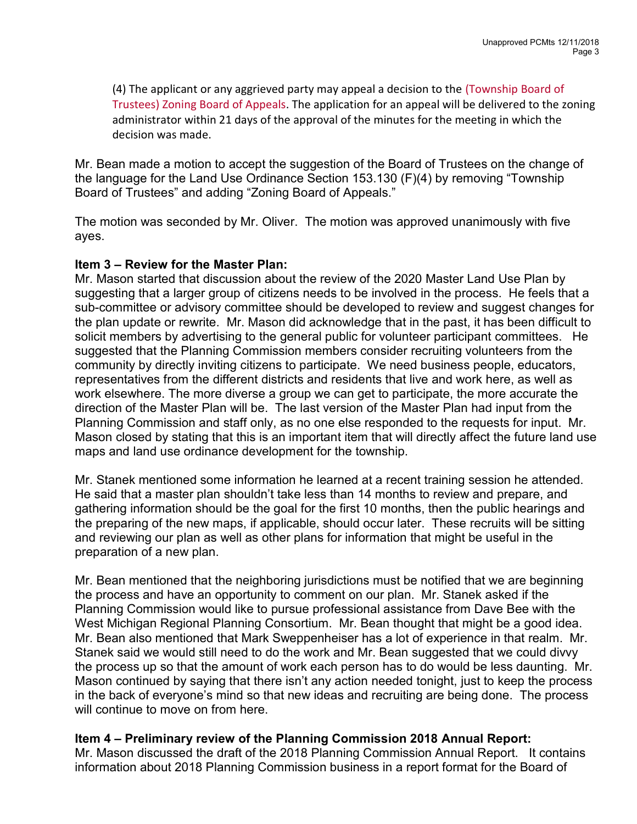(4) The applicant or any aggrieved party may appeal a decision to the (Township Board of Trustees) Zoning Board of Appeals. The application for an appeal will be delivered to the zoning administrator within 21 days of the approval of the minutes for the meeting in which the decision was made.

Mr. Bean made a motion to accept the suggestion of the Board of Trustees on the change of the language for the Land Use Ordinance Section 153.130 (F)(4) by removing "Township Board of Trustees" and adding "Zoning Board of Appeals."

The motion was seconded by Mr. Oliver. The motion was approved unanimously with five ayes.

#### Item 3 – Review for the Master Plan:

Mr. Mason started that discussion about the review of the 2020 Master Land Use Plan by suggesting that a larger group of citizens needs to be involved in the process. He feels that a sub-committee or advisory committee should be developed to review and suggest changes for the plan update or rewrite. Mr. Mason did acknowledge that in the past, it has been difficult to solicit members by advertising to the general public for volunteer participant committees. He suggested that the Planning Commission members consider recruiting volunteers from the community by directly inviting citizens to participate. We need business people, educators, representatives from the different districts and residents that live and work here, as well as work elsewhere. The more diverse a group we can get to participate, the more accurate the direction of the Master Plan will be. The last version of the Master Plan had input from the Planning Commission and staff only, as no one else responded to the requests for input. Mr. Mason closed by stating that this is an important item that will directly affect the future land use maps and land use ordinance development for the township.

Mr. Stanek mentioned some information he learned at a recent training session he attended. He said that a master plan shouldn't take less than 14 months to review and prepare, and gathering information should be the goal for the first 10 months, then the public hearings and the preparing of the new maps, if applicable, should occur later. These recruits will be sitting and reviewing our plan as well as other plans for information that might be useful in the preparation of a new plan.

Mr. Bean mentioned that the neighboring jurisdictions must be notified that we are beginning the process and have an opportunity to comment on our plan. Mr. Stanek asked if the Planning Commission would like to pursue professional assistance from Dave Bee with the West Michigan Regional Planning Consortium. Mr. Bean thought that might be a good idea. Mr. Bean also mentioned that Mark Sweppenheiser has a lot of experience in that realm. Mr. Stanek said we would still need to do the work and Mr. Bean suggested that we could divvy the process up so that the amount of work each person has to do would be less daunting. Mr. Mason continued by saying that there isn't any action needed tonight, just to keep the process in the back of everyone's mind so that new ideas and recruiting are being done. The process will continue to move on from here.

#### Item 4 – Preliminary review of the Planning Commission 2018 Annual Report:

Mr. Mason discussed the draft of the 2018 Planning Commission Annual Report. It contains information about 2018 Planning Commission business in a report format for the Board of